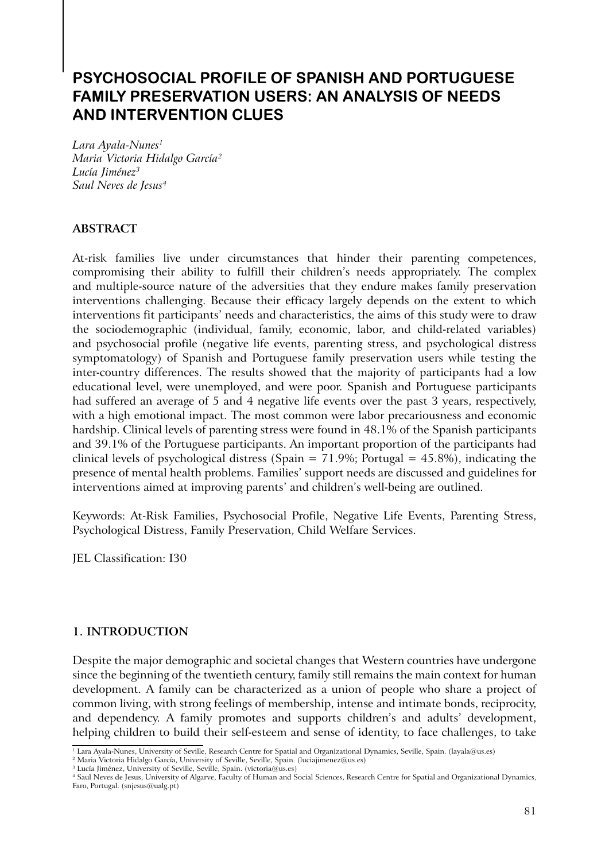# **PSYCHOSOCIAL PROFILE OF SPANISH AND PORTUGUESE FAMILY PRESERVATION USERS: AN ANALYSIS OF NEEDS AND INTERVENTION CLUES**

*Lara Ayala-Nunes1 Maria Victoria Hidalgo García2 Lucía Jiménez3 Saul Neves de Jesus4*

# **ABSTRACT**

At-risk families live under circumstances that hinder their parenting competences, compromising their ability to fulfill their children's needs appropriately. The complex and multiple-source nature of the adversities that they endure makes family preservation interventions challenging. Because their efficacy largely depends on the extent to which interventions fit participants' needs and characteristics, the aims of this study were to draw the sociodemographic (individual, family, economic, labor, and child-related variables) and psychosocial profile (negative life events, parenting stress, and psychological distress symptomatology) of Spanish and Portuguese family preservation users while testing the inter-country differences. The results showed that the majority of participants had a low educational level, were unemployed, and were poor. Spanish and Portuguese participants had suffered an average of 5 and 4 negative life events over the past 3 years, respectively, with a high emotional impact. The most common were labor precariousness and economic hardship. Clinical levels of parenting stress were found in 48.1% of the Spanish participants and 39.1% of the Portuguese participants. An important proportion of the participants had clinical levels of psychological distress (Spain =  $71.9\%$ ; Portugal =  $45.8\%$ ), indicating the presence of mental health problems. Families' support needs are discussed and guidelines for interventions aimed at improving parents' and children's well-being are outlined.

Keywords: At-Risk Families, Psychosocial Profile, Negative Life Events, Parenting Stress, Psychological Distress, Family Preservation, Child Welfare Services.

JEL Classification: I30

## **1. INTRODUCTION**

Despite the major demographic and societal changes that Western countries have undergone since the beginning of the twentieth century, family still remains the main context for human development. A family can be characterized as a union of people who share a project of common living, with strong feelings of membership, intense and intimate bonds, reciprocity, and dependency. A family promotes and supports children's and adults' development, helping children to build their self-esteem and sense of identity, to face challenges, to take

<sup>&</sup>lt;sup>1</sup> Lara Ayala-Nunes, University of Seville, Research Centre for Spatial and Organizational Dynamics, Seville, Spain. (layala@us.es)

<sup>&</sup>lt;sup>2</sup> Maria Victoria Hidalgo García, University of Seville, Seville, Spain. (luciajimenez@us.es)

<sup>&</sup>lt;sup>3</sup> Lucía Jiménez, University of Seville, Seville, Spain. (victoria@us.es)

<sup>4</sup> Saul Neves de Jesus, University of Algarve, Faculty of Human and Social Sciences, Research Centre for Spatial and Organizational Dynamics, Faro, Portugal. (snjesus@ualg.pt)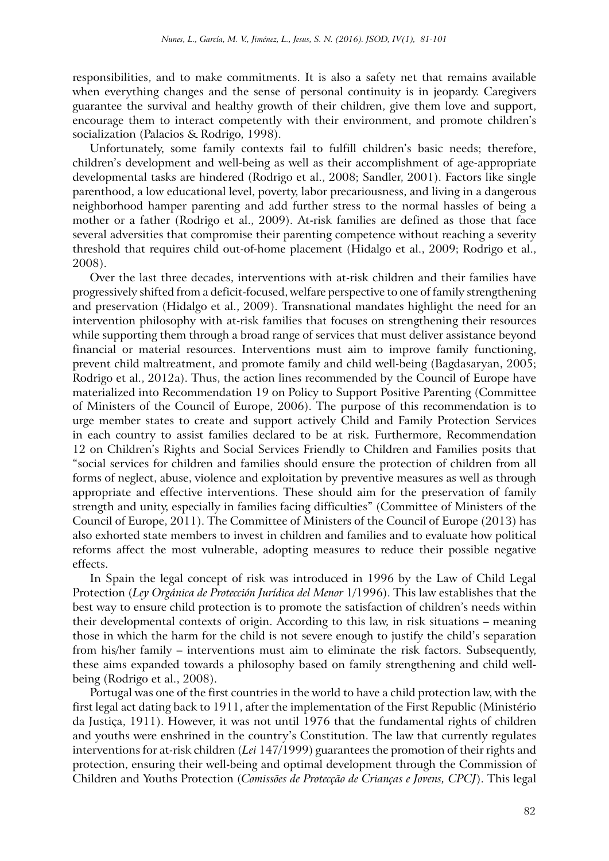responsibilities, and to make commitments. It is also a safety net that remains available when everything changes and the sense of personal continuity is in jeopardy. Caregivers guarantee the survival and healthy growth of their children, give them love and support, encourage them to interact competently with their environment, and promote children's socialization (Palacios & Rodrigo, 1998).

Unfortunately, some family contexts fail to fulfill children's basic needs; therefore, children's development and well-being as well as their accomplishment of age-appropriate developmental tasks are hindered (Rodrigo et al., 2008; Sandler, 2001). Factors like single parenthood, a low educational level, poverty, labor precariousness, and living in a dangerous neighborhood hamper parenting and add further stress to the normal hassles of being a mother or a father (Rodrigo et al., 2009). At-risk families are defined as those that face several adversities that compromise their parenting competence without reaching a severity threshold that requires child out-of-home placement (Hidalgo et al., 2009; Rodrigo et al., 2008).

Over the last three decades, interventions with at-risk children and their families have progressively shifted from a deficit-focused, welfare perspective to one of family strengthening and preservation (Hidalgo et al., 2009). Transnational mandates highlight the need for an intervention philosophy with at-risk families that focuses on strengthening their resources while supporting them through a broad range of services that must deliver assistance beyond financial or material resources. Interventions must aim to improve family functioning, prevent child maltreatment, and promote family and child well-being (Bagdasaryan, 2005; Rodrigo et al., 2012a). Thus, the action lines recommended by the Council of Europe have materialized into Recommendation 19 on Policy to Support Positive Parenting (Committee of Ministers of the Council of Europe, 2006). The purpose of this recommendation is to urge member states to create and support actively Child and Family Protection Services in each country to assist families declared to be at risk. Furthermore, Recommendation 12 on Children's Rights and Social Services Friendly to Children and Families posits that "social services for children and families should ensure the protection of children from all forms of neglect, abuse, violence and exploitation by preventive measures as well as through appropriate and effective interventions. These should aim for the preservation of family strength and unity, especially in families facing difficulties" (Committee of Ministers of the Council of Europe, 2011). The Committee of Ministers of the Council of Europe (2013) has also exhorted state members to invest in children and families and to evaluate how political reforms affect the most vulnerable, adopting measures to reduce their possible negative effects.

In Spain the legal concept of risk was introduced in 1996 by the Law of Child Legal Protection (*Ley Orgánica de Protección Jurídica del Menor* 1/1996). This law establishes that the best way to ensure child protection is to promote the satisfaction of children's needs within their developmental contexts of origin. According to this law, in risk situations – meaning those in which the harm for the child is not severe enough to justify the child's separation from his/her family – interventions must aim to eliminate the risk factors. Subsequently, these aims expanded towards a philosophy based on family strengthening and child wellbeing (Rodrigo et al., 2008).

Portugal was one of the first countries in the world to have a child protection law, with the first legal act dating back to 1911, after the implementation of the First Republic (Ministério da Justiça, 1911). However, it was not until 1976 that the fundamental rights of children and youths were enshrined in the country's Constitution. The law that currently regulates interventions for at-risk children (*Lei* 147/1999) guarantees the promotion of their rights and protection, ensuring their well-being and optimal development through the Commission of Children and Youths Protection (*Comissões de Protecção de Crianças e Jovens, CPCJ*). This legal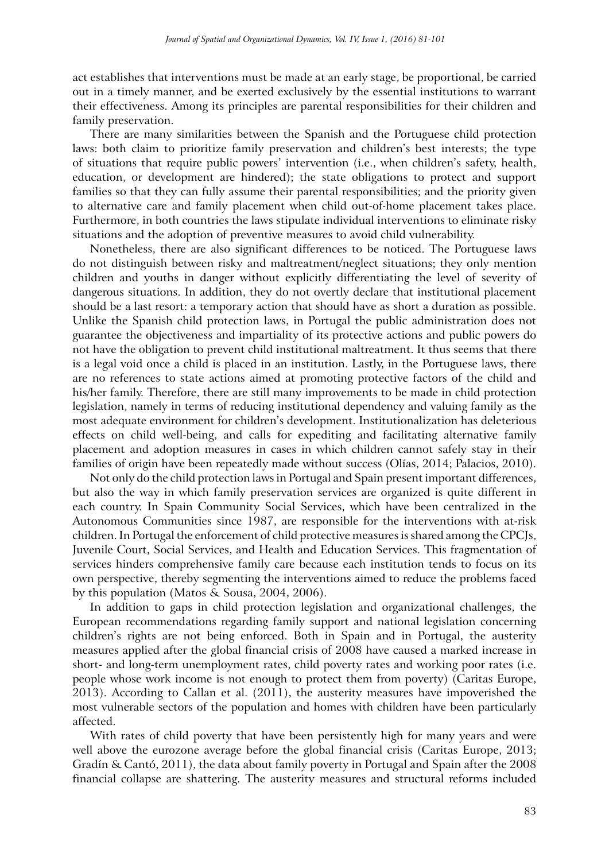act establishes that interventions must be made at an early stage, be proportional, be carried out in a timely manner, and be exerted exclusively by the essential institutions to warrant their effectiveness. Among its principles are parental responsibilities for their children and family preservation.

There are many similarities between the Spanish and the Portuguese child protection laws: both claim to prioritize family preservation and children's best interests; the type of situations that require public powers' intervention (i.e., when children's safety, health, education, or development are hindered); the state obligations to protect and support families so that they can fully assume their parental responsibilities; and the priority given to alternative care and family placement when child out-of-home placement takes place. Furthermore, in both countries the laws stipulate individual interventions to eliminate risky situations and the adoption of preventive measures to avoid child vulnerability.

Nonetheless, there are also significant differences to be noticed. The Portuguese laws do not distinguish between risky and maltreatment/neglect situations; they only mention children and youths in danger without explicitly differentiating the level of severity of dangerous situations. In addition, they do not overtly declare that institutional placement should be a last resort: a temporary action that should have as short a duration as possible. Unlike the Spanish child protection laws, in Portugal the public administration does not guarantee the objectiveness and impartiality of its protective actions and public powers do not have the obligation to prevent child institutional maltreatment. It thus seems that there is a legal void once a child is placed in an institution. Lastly, in the Portuguese laws, there are no references to state actions aimed at promoting protective factors of the child and his/her family. Therefore, there are still many improvements to be made in child protection legislation, namely in terms of reducing institutional dependency and valuing family as the most adequate environment for children's development. Institutionalization has deleterious effects on child well-being, and calls for expediting and facilitating alternative family placement and adoption measures in cases in which children cannot safely stay in their families of origin have been repeatedly made without success (Olías, 2014; Palacios, 2010).

Not only do the child protection laws in Portugal and Spain present important differences, but also the way in which family preservation services are organized is quite different in each country. In Spain Community Social Services, which have been centralized in the Autonomous Communities since 1987, are responsible for the interventions with at-risk children. In Portugal the enforcement of child protective measures is shared among the CPCJs, Juvenile Court, Social Services, and Health and Education Services. This fragmentation of services hinders comprehensive family care because each institution tends to focus on its own perspective, thereby segmenting the interventions aimed to reduce the problems faced by this population (Matos & Sousa, 2004, 2006).

In addition to gaps in child protection legislation and organizational challenges, the European recommendations regarding family support and national legislation concerning children's rights are not being enforced. Both in Spain and in Portugal, the austerity measures applied after the global financial crisis of 2008 have caused a marked increase in short- and long-term unemployment rates, child poverty rates and working poor rates (i.e. people whose work income is not enough to protect them from poverty) (Caritas Europe, 2013). According to Callan et al. (2011), the austerity measures have impoverished the most vulnerable sectors of the population and homes with children have been particularly affected.

With rates of child poverty that have been persistently high for many years and were well above the eurozone average before the global financial crisis (Caritas Europe, 2013; Gradín & Cantó, 2011), the data about family poverty in Portugal and Spain after the 2008 financial collapse are shattering. The austerity measures and structural reforms included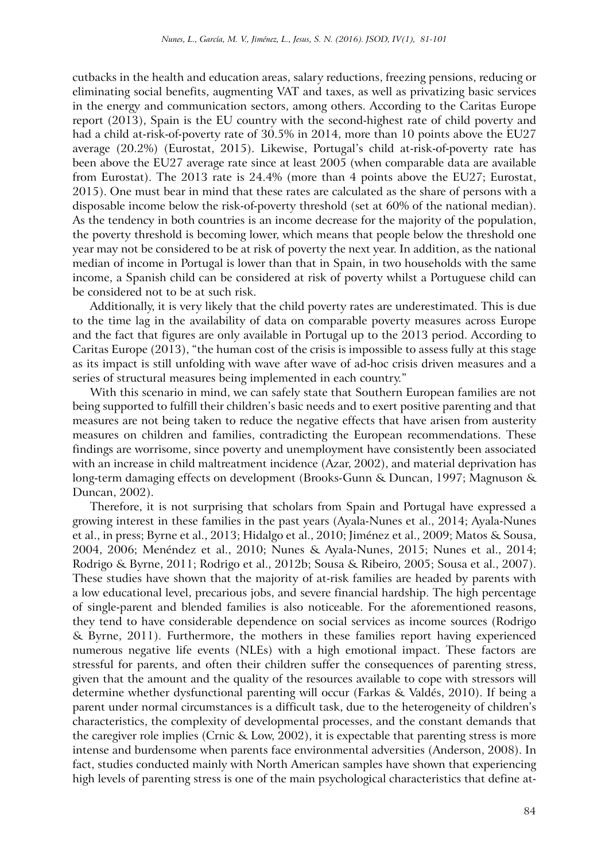cutbacks in the health and education areas, salary reductions, freezing pensions, reducing or eliminating social benefits, augmenting VAT and taxes, as well as privatizing basic services in the energy and communication sectors, among others. According to the Caritas Europe report (2013), Spain is the EU country with the second-highest rate of child poverty and had a child at-risk-of-poverty rate of 30.5% in 2014, more than 10 points above the EU27 average (20.2%) (Eurostat, 2015). Likewise, Portugal's child at-risk-of-poverty rate has been above the EU27 average rate since at least 2005 (when comparable data are available from Eurostat). The 2013 rate is 24.4% (more than 4 points above the EU27; Eurostat, 2015). One must bear in mind that these rates are calculated as the share of persons with a disposable income below the risk-of-poverty threshold (set at 60% of the national median). As the tendency in both countries is an income decrease for the majority of the population, the poverty threshold is becoming lower, which means that people below the threshold one year may not be considered to be at risk of poverty the next year. In addition, as the national median of income in Portugal is lower than that in Spain, in two households with the same income, a Spanish child can be considered at risk of poverty whilst a Portuguese child can be considered not to be at such risk.

Additionally, it is very likely that the child poverty rates are underestimated. This is due to the time lag in the availability of data on comparable poverty measures across Europe and the fact that figures are only available in Portugal up to the 2013 period. According to Caritas Europe (2013), "the human cost of the crisis is impossible to assess fully at this stage as its impact is still unfolding with wave after wave of ad-hoc crisis driven measures and a series of structural measures being implemented in each country."

With this scenario in mind, we can safely state that Southern European families are not being supported to fulfill their children's basic needs and to exert positive parenting and that measures are not being taken to reduce the negative effects that have arisen from austerity measures on children and families, contradicting the European recommendations. These findings are worrisome, since poverty and unemployment have consistently been associated with an increase in child maltreatment incidence (Azar, 2002), and material deprivation has long-term damaging effects on development (Brooks-Gunn & Duncan, 1997; Magnuson & Duncan, 2002).

Therefore, it is not surprising that scholars from Spain and Portugal have expressed a growing interest in these families in the past years (Ayala-Nunes et al., 2014; Ayala-Nunes et al., in press; Byrne et al., 2013; Hidalgo et al., 2010; Jiménez et al., 2009; Matos & Sousa, 2004, 2006; Menéndez et al., 2010; Nunes & Ayala-Nunes, 2015; Nunes et al., 2014; Rodrigo & Byrne, 2011; Rodrigo et al., 2012b; Sousa & Ribeiro, 2005; Sousa et al., 2007). These studies have shown that the majority of at-risk families are headed by parents with a low educational level, precarious jobs, and severe financial hardship. The high percentage of single-parent and blended families is also noticeable. For the aforementioned reasons, they tend to have considerable dependence on social services as income sources (Rodrigo & Byrne, 2011). Furthermore, the mothers in these families report having experienced numerous negative life events (NLEs) with a high emotional impact. These factors are stressful for parents, and often their children suffer the consequences of parenting stress, given that the amount and the quality of the resources available to cope with stressors will determine whether dysfunctional parenting will occur (Farkas & Valdés, 2010). If being a parent under normal circumstances is a difficult task, due to the heterogeneity of children's characteristics, the complexity of developmental processes, and the constant demands that the caregiver role implies (Crnic & Low, 2002), it is expectable that parenting stress is more intense and burdensome when parents face environmental adversities (Anderson, 2008). In fact, studies conducted mainly with North American samples have shown that experiencing high levels of parenting stress is one of the main psychological characteristics that define at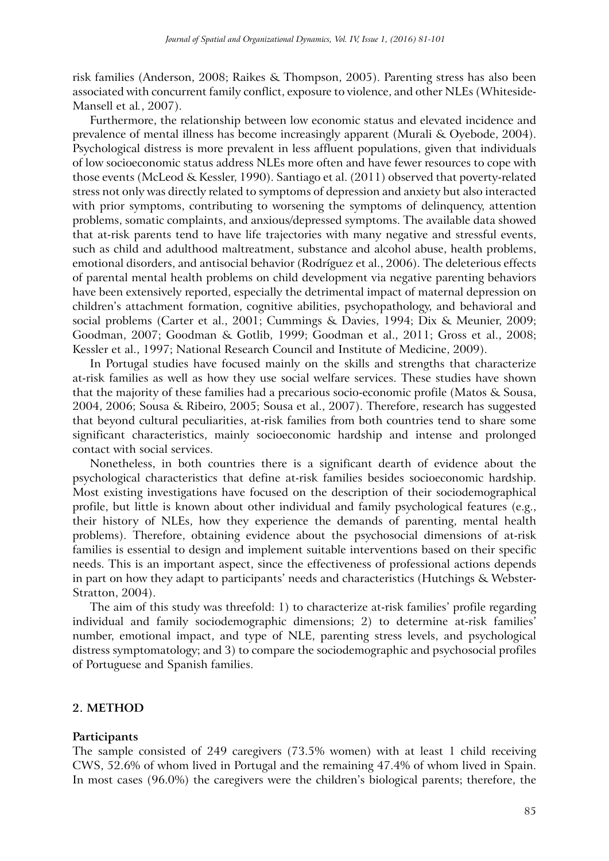risk families (Anderson, 2008; Raikes & Thompson, 2005). Parenting stress has also been associated with concurrent family conflict, exposure to violence, and other NLEs (Whiteside-Mansell et al*.*, 2007).

Furthermore, the relationship between low economic status and elevated incidence and prevalence of mental illness has become increasingly apparent (Murali & Oyebode, 2004). Psychological distress is more prevalent in less affluent populations, given that individuals of low socioeconomic status address NLEs more often and have fewer resources to cope with those events (McLeod & Kessler, 1990). Santiago et al. (2011) observed that poverty-related stress not only was directly related to symptoms of depression and anxiety but also interacted with prior symptoms, contributing to worsening the symptoms of delinquency, attention problems, somatic complaints, and anxious/depressed symptoms. The available data showed that at-risk parents tend to have life trajectories with many negative and stressful events, such as child and adulthood maltreatment, substance and alcohol abuse, health problems, emotional disorders, and antisocial behavior (Rodríguez et al., 2006). The deleterious effects of parental mental health problems on child development via negative parenting behaviors have been extensively reported, especially the detrimental impact of maternal depression on children's attachment formation, cognitive abilities, psychopathology, and behavioral and social problems (Carter et al., 2001; Cummings & Davies, 1994; Dix & Meunier, 2009; Goodman, 2007; Goodman & Gotlib, 1999; Goodman et al., 2011; Gross et al., 2008; Kessler et al., 1997; National Research Council and Institute of Medicine, 2009).

In Portugal studies have focused mainly on the skills and strengths that characterize at-risk families as well as how they use social welfare services. These studies have shown that the majority of these families had a precarious socio-economic profile (Matos & Sousa, 2004, 2006; Sousa & Ribeiro, 2005; Sousa et al., 2007). Therefore, research has suggested that beyond cultural peculiarities, at-risk families from both countries tend to share some significant characteristics, mainly socioeconomic hardship and intense and prolonged contact with social services.

Nonetheless, in both countries there is a significant dearth of evidence about the psychological characteristics that define at-risk families besides socioeconomic hardship. Most existing investigations have focused on the description of their sociodemographical profile, but little is known about other individual and family psychological features (e.g., their history of NLEs, how they experience the demands of parenting, mental health problems). Therefore, obtaining evidence about the psychosocial dimensions of at-risk families is essential to design and implement suitable interventions based on their specific needs. This is an important aspect, since the effectiveness of professional actions depends in part on how they adapt to participants' needs and characteristics (Hutchings & Webster-Stratton, 2004).

The aim of this study was threefold: 1) to characterize at-risk families' profile regarding individual and family sociodemographic dimensions; 2) to determine at-risk families' number, emotional impact, and type of NLE, parenting stress levels, and psychological distress symptomatology; and 3) to compare the sociodemographic and psychosocial profiles of Portuguese and Spanish families.

#### **2. METHOD**

#### **Participants**

The sample consisted of 249 caregivers (73.5% women) with at least 1 child receiving CWS, 52.6% of whom lived in Portugal and the remaining 47.4% of whom lived in Spain. In most cases (96.0%) the caregivers were the children's biological parents; therefore, the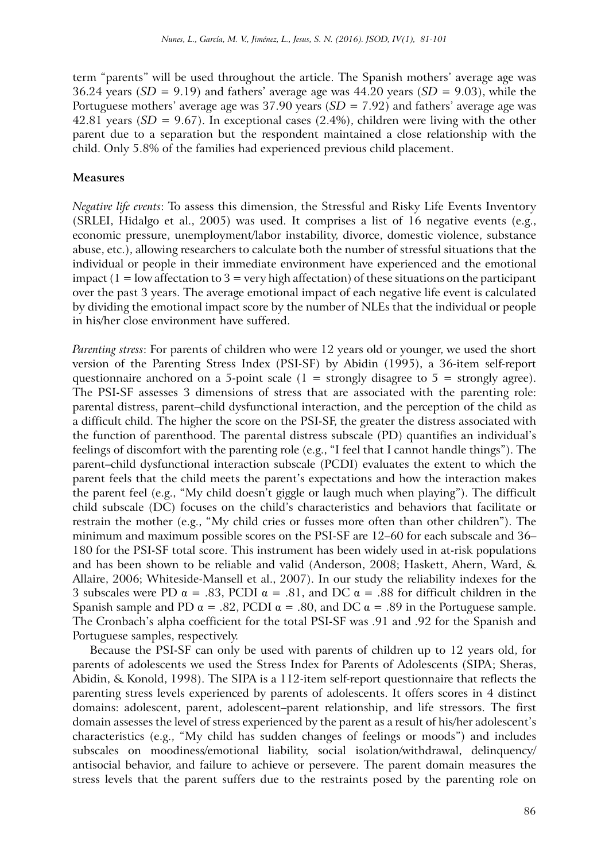term "parents" will be used throughout the article. The Spanish mothers' average age was 36.24 years ( $SD = 9.19$ ) and fathers' average age was  $44.20$  years ( $SD = 9.03$ ), while the Portuguese mothers' average age was 37.90 years (*SD* = 7.92) and fathers' average age was 42.81 years (*SD* = 9.67). In exceptional cases (2.4%), children were living with the other parent due to a separation but the respondent maintained a close relationship with the child. Only 5.8% of the families had experienced previous child placement.

# **Measures**

*Negative life events*: To assess this dimension, the Stressful and Risky Life Events Inventory (SRLEI, Hidalgo et al., 2005) was used. It comprises a list of 16 negative events (e.g., economic pressure, unemployment/labor instability, divorce, domestic violence, substance abuse, etc.), allowing researchers to calculate both the number of stressful situations that the individual or people in their immediate environment have experienced and the emotional impact  $(1 = low$  affectation to  $3 = very$  high affectation) of these situations on the participant over the past 3 years. The average emotional impact of each negative life event is calculated by dividing the emotional impact score by the number of NLEs that the individual or people in his/her close environment have suffered.

*Parenting stress*: For parents of children who were 12 years old or younger, we used the short version of the Parenting Stress Index (PSI-SF) by Abidin (1995), a 36-item self-report questionnaire anchored on a 5-point scale ( $1 =$  strongly disagree to  $5 =$  strongly agree). The PSI-SF assesses 3 dimensions of stress that are associated with the parenting role: parental distress, parent–child dysfunctional interaction, and the perception of the child as a difficult child. The higher the score on the PSI-SF, the greater the distress associated with the function of parenthood. The parental distress subscale (PD) quantifies an individual's feelings of discomfort with the parenting role (e.g., "I feel that I cannot handle things"). The parent–child dysfunctional interaction subscale (PCDI) evaluates the extent to which the parent feels that the child meets the parent's expectations and how the interaction makes the parent feel (e.g., "My child doesn't giggle or laugh much when playing"). The difficult child subscale (DC) focuses on the child's characteristics and behaviors that facilitate or restrain the mother (e.g., "My child cries or fusses more often than other children"). The minimum and maximum possible scores on the PSI-SF are 12–60 for each subscale and 36– 180 for the PSI-SF total score. This instrument has been widely used in at-risk populations and has been shown to be reliable and valid (Anderson, 2008; Haskett, Ahern, Ward, & Allaire, 2006; Whiteside-Mansell et al., 2007). In our study the reliability indexes for the 3 subscales were PD  $\alpha = .83$ , PCDI  $\alpha = .81$ , and DC  $\alpha = .88$  for difficult children in the Spanish sample and PD  $\alpha = .82$ , PCDI  $\alpha = .80$ , and DC  $\alpha = .89$  in the Portuguese sample. The Cronbach's alpha coefficient for the total PSI-SF was .91 and .92 for the Spanish and Portuguese samples, respectively.

Because the PSI-SF can only be used with parents of children up to 12 years old, for parents of adolescents we used the Stress Index for Parents of Adolescents (SIPA; Sheras, Abidin, & Konold, 1998). The SIPA is a 112-item self-report questionnaire that reflects the parenting stress levels experienced by parents of adolescents. It offers scores in 4 distinct domains: adolescent, parent, adolescent–parent relationship, and life stressors. The first domain assesses the level of stress experienced by the parent as a result of his/her adolescent's characteristics (e.g., "My child has sudden changes of feelings or moods") and includes subscales on moodiness/emotional liability, social isolation/withdrawal, delinquency/ antisocial behavior, and failure to achieve or persevere. The parent domain measures the stress levels that the parent suffers due to the restraints posed by the parenting role on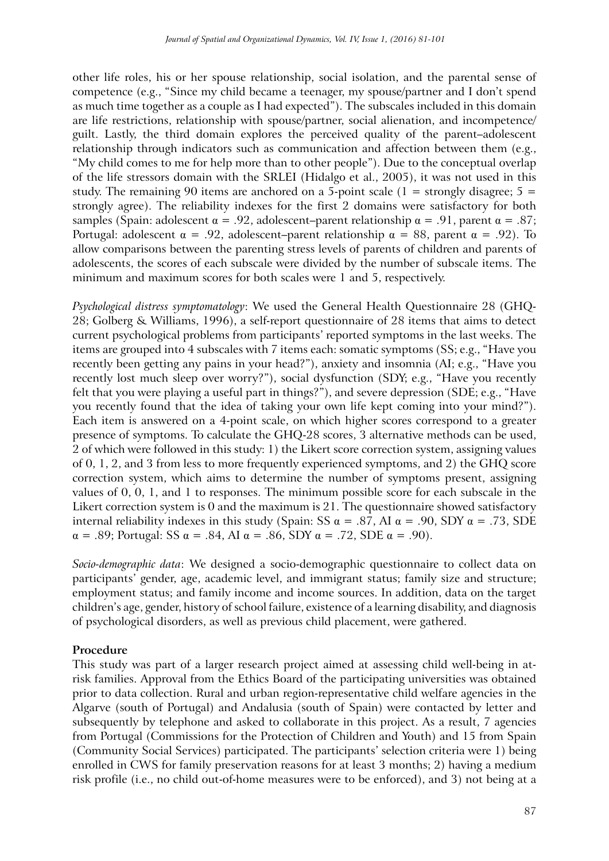other life roles, his or her spouse relationship, social isolation, and the parental sense of competence (e.g., "Since my child became a teenager, my spouse/partner and I don't spend as much time together as a couple as I had expected"). The subscales included in this domain are life restrictions, relationship with spouse/partner, social alienation, and incompetence/ guilt. Lastly, the third domain explores the perceived quality of the parent–adolescent relationship through indicators such as communication and affection between them (e.g., "My child comes to me for help more than to other people"). Due to the conceptual overlap of the life stressors domain with the SRLEI (Hidalgo et al., 2005), it was not used in this study. The remaining 90 items are anchored on a 5-point scale ( $1 =$  strongly disagree;  $5 =$ strongly agree). The reliability indexes for the first 2 domains were satisfactory for both samples (Spain: adolescent  $\alpha = .92$ , adolescent–parent relationship  $\alpha = .91$ , parent  $\alpha = .87$ ; Portugal: adolescent  $\alpha = .92$ , adolescent–parent relationship  $\alpha = 88$ , parent  $\alpha = .92$ ). To allow comparisons between the parenting stress levels of parents of children and parents of adolescents, the scores of each subscale were divided by the number of subscale items. The minimum and maximum scores for both scales were 1 and 5, respectively.

*Psychological distress symptomatology*: We used the General Health Questionnaire 28 (GHQ-28; Golberg & Williams, 1996), a self-report questionnaire of 28 items that aims to detect current psychological problems from participants' reported symptoms in the last weeks. The items are grouped into 4 subscales with 7 items each: somatic symptoms (SS; e.g., "Have you recently been getting any pains in your head?"), anxiety and insomnia (AI; e.g., "Have you recently lost much sleep over worry?"), social dysfunction (SDY; e.g., "Have you recently felt that you were playing a useful part in things?"), and severe depression (SDE; e.g., "Have you recently found that the idea of taking your own life kept coming into your mind?"). Each item is answered on a 4-point scale, on which higher scores correspond to a greater presence of symptoms. To calculate the GHQ-28 scores, 3 alternative methods can be used, 2 of which were followed in this study: 1) the Likert score correction system, assigning values of 0, 1, 2, and 3 from less to more frequently experienced symptoms, and 2) the GHQ score correction system, which aims to determine the number of symptoms present, assigning values of 0, 0, 1, and 1 to responses. The minimum possible score for each subscale in the Likert correction system is 0 and the maximum is 21. The questionnaire showed satisfactory internal reliability indexes in this study (Spain: SS  $\alpha$  = .87, AI  $\alpha$  = .90, SDY  $\alpha$  = .73, SDE  $\alpha = .89$ ; Portugal: SS  $\alpha = .84$ , AI  $\alpha = .86$ , SDY  $\alpha = .72$ , SDE  $\alpha = .90$ ).

*Socio-demographic data*: We designed a socio-demographic questionnaire to collect data on participants' gender, age, academic level, and immigrant status; family size and structure; employment status; and family income and income sources. In addition, data on the target children's age, gender, history of school failure, existence of a learning disability, and diagnosis of psychological disorders, as well as previous child placement, were gathered.

# **Procedure**

This study was part of a larger research project aimed at assessing child well-being in atrisk families. Approval from the Ethics Board of the participating universities was obtained prior to data collection. Rural and urban region-representative child welfare agencies in the Algarve (south of Portugal) and Andalusia (south of Spain) were contacted by letter and subsequently by telephone and asked to collaborate in this project. As a result, 7 agencies from Portugal (Commissions for the Protection of Children and Youth) and 15 from Spain (Community Social Services) participated. The participants' selection criteria were 1) being enrolled in CWS for family preservation reasons for at least 3 months; 2) having a medium risk profile (i.e., no child out-of-home measures were to be enforced), and 3) not being at a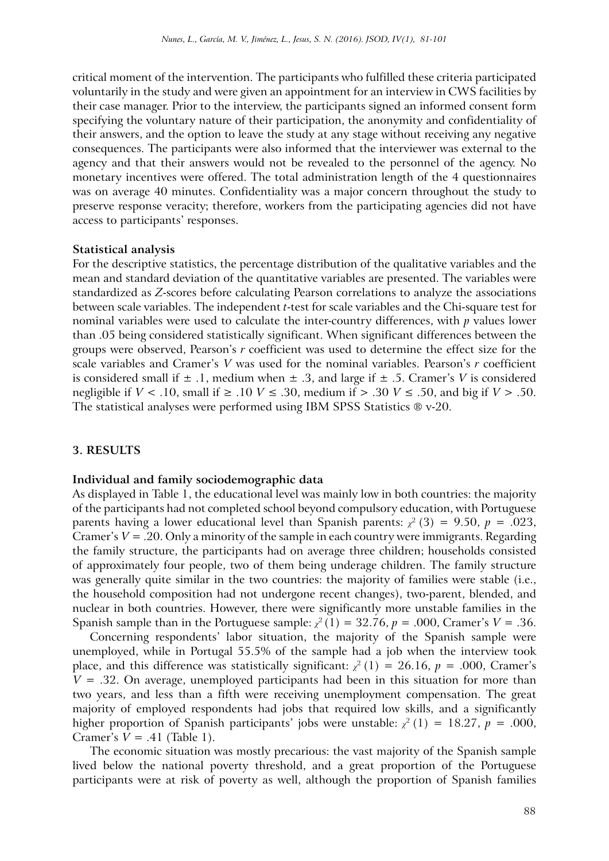critical moment of the intervention. The participants who fulfilled these criteria participated voluntarily in the study and were given an appointment for an interview in CWS facilities by their case manager. Prior to the interview, the participants signed an informed consent form specifying the voluntary nature of their participation, the anonymity and confidentiality of their answers, and the option to leave the study at any stage without receiving any negative consequences. The participants were also informed that the interviewer was external to the agency and that their answers would not be revealed to the personnel of the agency. No monetary incentives were offered. The total administration length of the 4 questionnaires was on average 40 minutes. Confidentiality was a major concern throughout the study to preserve response veracity; therefore, workers from the participating agencies did not have access to participants' responses.

#### **Statistical analysis**

For the descriptive statistics, the percentage distribution of the qualitative variables and the mean and standard deviation of the quantitative variables are presented. The variables were standardized as *Z*-scores before calculating Pearson correlations to analyze the associations between scale variables. The independent *t*-test for scale variables and the Chi-square test for nominal variables were used to calculate the inter-country differences, with *p* values lower than .05 being considered statistically significant. When significant differences between the groups were observed, Pearson's *r* coefficient was used to determine the effect size for the scale variables and Cramer's *V* was used for the nominal variables. Pearson's *r* coefficient is considered small if  $\pm$  .1, medium when  $\pm$  .3, and large if  $\pm$  .5. Cramer's *V* is considered negligible if *V* < .10, small if ≥ .10 *V* ≤ .30, medium if > .30 *V* ≤ .50, and big if *V* > .50. The statistical analyses were performed using IBM SPSS Statistics ® v-20.

## **3. RESULTS**

#### **Individual and family sociodemographic data**

As displayed in Table 1, the educational level was mainly low in both countries: the majority of the participants had not completed school beyond compulsory education, with Portuguese parents having a lower educational level than Spanish parents: *χ* 2 (3) = 9.50, *p* = .023, Cramer's *V* = .20. Only a minority of the sample in each country were immigrants. Regarding the family structure, the participants had on average three children; households consisted of approximately four people, two of them being underage children. The family structure was generally quite similar in the two countries: the majority of families were stable (i.e., the household composition had not undergone recent changes), two-parent, blended, and nuclear in both countries. However, there were significantly more unstable families in the Spanish sample than in the Portuguese sample:  $\chi^2(1) = 32.76$ ,  $p = .000$ , Cramer's  $V = .36$ .

Concerning respondents' labor situation, the majority of the Spanish sample were unemployed, while in Portugal 55.5% of the sample had a job when the interview took place, and this difference was statistically significant:  $\chi^2(1) = 26.16$ ,  $p = .000$ , Cramer's  $V = .32$ . On average, unemployed participants had been in this situation for more than two years, and less than a fifth were receiving unemployment compensation. The great majority of employed respondents had jobs that required low skills, and a significantly higher proportion of Spanish participants' jobs were unstable:  $\chi^2(1) = 18.27$ ,  $p = .000$ , Cramer's  $V = .41$  (Table 1).

The economic situation was mostly precarious: the vast majority of the Spanish sample lived below the national poverty threshold, and a great proportion of the Portuguese participants were at risk of poverty as well, although the proportion of Spanish families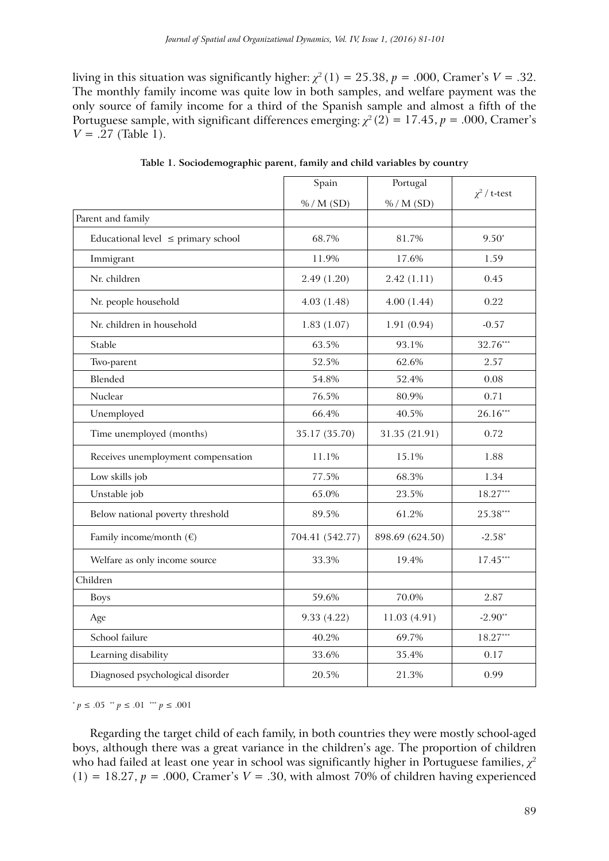living in this situation was significantly higher:  $\chi^2(1) = 25.38$ ,  $p = .000$ , Cramer's  $V = .32$ . The monthly family income was quite low in both samples, and welfare payment was the only source of family income for a third of the Spanish sample and almost a fifth of the Portuguese sample, with significant differences emerging:  $\chi^2(2) = 17.45$ ,  $p = .000$ , Cramer's  $V = .27$  (Table 1).

|                                         | Spain           | Portugal        | $\chi^2$ / t-test |  |  |
|-----------------------------------------|-----------------|-----------------|-------------------|--|--|
|                                         | % / M(SD)       | % / M(SD)       |                   |  |  |
| Parent and family                       |                 |                 |                   |  |  |
| Educational level $\leq$ primary school | 68.7%           | 81.7%           | $9.50*$           |  |  |
| Immigrant                               | 11.9%           | 17.6%           | 1.59              |  |  |
| Nr. children                            | 2.49(1.20)      | 2.42(1.11)      | 0.45              |  |  |
| Nr. people household                    | 4.03(1.48)      | 4.00(1.44)      | 0.22              |  |  |
| Nr. children in household               | 1.83(1.07)      | 1.91(0.94)      | $-0.57$           |  |  |
| Stable                                  | 63.5%           | 93.1%           | 32.76***          |  |  |
| Two-parent                              | 52.5%           | 62.6%           | 2.57              |  |  |
| Blended                                 | 54.8%           | 52.4%           | 0.08              |  |  |
| Nuclear                                 | 76.5%           | 80.9%           | 0.71              |  |  |
| Unemployed                              | 66.4%           | 40.5%           | $26.16***$        |  |  |
| Time unemployed (months)                | 35.17 (35.70)   | 31.35 (21.91)   | 0.72              |  |  |
| Receives unemployment compensation      | 11.1%           | 15.1%           | 1.88              |  |  |
| Low skills job                          | 77.5%           | 68.3%           | 1.34              |  |  |
| Unstable job                            | 65.0%           | 23.5%           | $18.27***$        |  |  |
| Below national poverty threshold        | 89.5%           | 61.2%           | 25.38***          |  |  |
| Family income/month $(\epsilon)$        | 704.41 (542.77) | 898.69 (624.50) | $-2.58*$          |  |  |
| Welfare as only income source           | 33.3%           | 19.4%           | $17.45***$        |  |  |
| Children                                |                 |                 |                   |  |  |
| <b>Boys</b>                             | 59.6%           | 70.0%           | 2.87              |  |  |
| Age                                     | 9.33 (4.22)     | 11.03(4.91)     | $-2.90**$         |  |  |
| School failure                          | 40.2%           | 69.7%           | 18.27***          |  |  |
| Learning disability                     | 33.6%           | 35.4%           | 0.17              |  |  |
| Diagnosed psychological disorder        | 20.5%           | 21.3%           | 0.99              |  |  |

**Table 1. Sociodemographic parent, family and child variables by country**

 $p \leq 0.05$  \*\*  $p \leq 0.01$  \*\*\*  $p \leq 0.001$ 

Regarding the target child of each family, in both countries they were mostly school-aged boys, although there was a great variance in the children's age. The proportion of children who had failed at least one year in school was significantly higher in Portuguese families, *χ*<sup>2</sup>  $(1) = 18.27, p = .000$ , Cramer's  $V = .30$ , with almost 70% of children having experienced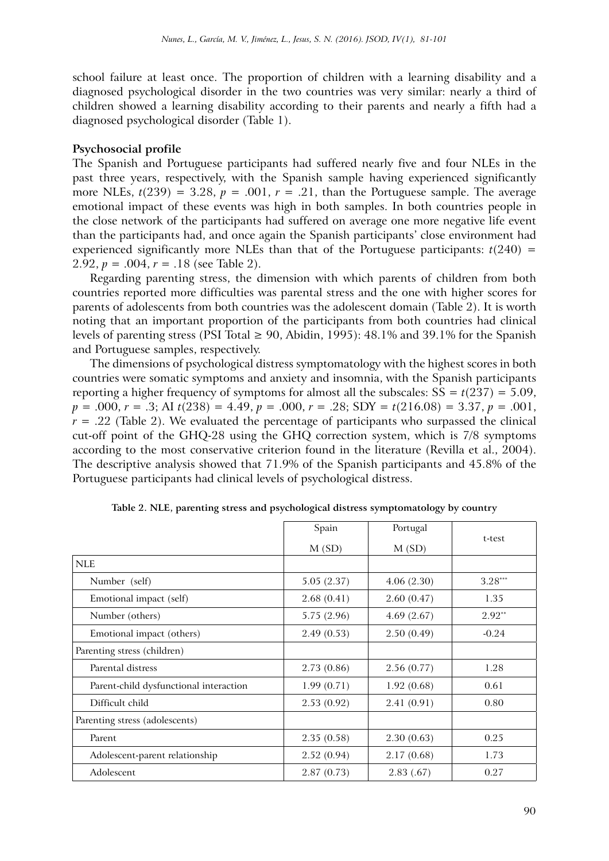school failure at least once. The proportion of children with a learning disability and a diagnosed psychological disorder in the two countries was very similar: nearly a third of children showed a learning disability according to their parents and nearly a fifth had a diagnosed psychological disorder (Table 1).

# **Psychosocial profile**

The Spanish and Portuguese participants had suffered nearly five and four NLEs in the past three years, respectively, with the Spanish sample having experienced significantly more NLEs,  $t(239) = 3.28$ ,  $p = .001$ ,  $r = .21$ , than the Portuguese sample. The average emotional impact of these events was high in both samples. In both countries people in the close network of the participants had suffered on average one more negative life event than the participants had, and once again the Spanish participants' close environment had experienced significantly more NLEs than that of the Portuguese participants:  $t(240)$  = 2.92,  $p = .004$ ,  $r = .18$  (see Table 2).

Regarding parenting stress, the dimension with which parents of children from both countries reported more difficulties was parental stress and the one with higher scores for parents of adolescents from both countries was the adolescent domain (Table 2). It is worth noting that an important proportion of the participants from both countries had clinical levels of parenting stress (PSI Total  $\geq$  90, Abidin, 1995): 48.1% and 39.1% for the Spanish and Portuguese samples, respectively.

The dimensions of psychological distress symptomatology with the highest scores in both countries were somatic symptoms and anxiety and insomnia, with the Spanish participants reporting a higher frequency of symptoms for almost all the subscales:  $SS = t(237) = 5.09$ , *p* = .000, *r* = .3; AI *t*(238) = 4.49, *p* = .000, *r* = .28; SDY = *t*(216.08) = 3.37, *p* = .001,  $r = .22$  (Table 2). We evaluated the percentage of participants who surpassed the clinical cut-off point of the GHQ-28 using the GHQ correction system, which is 7/8 symptoms according to the most conservative criterion found in the literature (Revilla et al., 2004). The descriptive analysis showed that 71.9% of the Spanish participants and 45.8% of the Portuguese participants had clinical levels of psychological distress.

|                                        | Spain      | Portugal   | t-test    |  |
|----------------------------------------|------------|------------|-----------|--|
|                                        | M(SD)      | M(SD)      |           |  |
| <b>NLE</b>                             |            |            |           |  |
| Number (self)                          | 5.05(2.37) | 4.06(2.30) | $3.28***$ |  |
| Emotional impact (self)                | 2.68(0.41) | 2.60(0.47) | 1.35      |  |
| Number (others)                        | 5.75(2.96) | 4.69(2.67) | $2.92**$  |  |
| Emotional impact (others)              | 2.49(0.53) | 2.50(0.49) | $-0.24$   |  |
| Parenting stress (children)            |            |            |           |  |
| Parental distress                      | 2.73(0.86) | 2.56(0.77) | 1.28      |  |
| Parent-child dysfunctional interaction | 1.99(0.71) | 1.92(0.68) | 0.61      |  |
| Difficult child                        | 2.53(0.92) | 2.41(0.91) | 0.80      |  |
| Parenting stress (adolescents)         |            |            |           |  |
| Parent                                 | 2.35(0.58) | 2.30(0.63) | 0.25      |  |
| Adolescent-parent relationship         | 2.52(0.94) | 2.17(0.68) | 1.73      |  |
| Adolescent                             | 2.87(0.73) | 2.83(0.67) | 0.27      |  |

**Table 2. NLE, parenting stress and psychological distress symptomatology by country**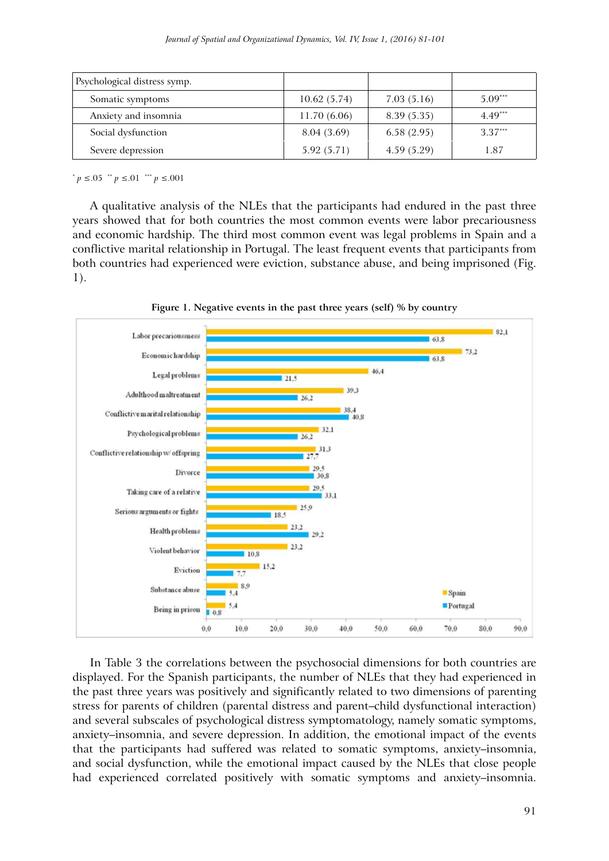| Psychological distress symp. |             |            |           |
|------------------------------|-------------|------------|-----------|
| Somatic symptoms             | 10.62(5.74) | 7.03(5.16) | $5.09***$ |
| Anxiety and insomnia         | 11.70(6.06) | 8.39(5.35) | $4.49***$ |
| Social dysfunction           | 8.04 (3.69) | 6.58(2.95) | $3.37***$ |
| Severe depression            | 5.92(5.71)  | 4.59(5.29) | 1.87      |

\* *p* ≤.05 \*\* *p* ≤.01 \*\*\* *p* ≤.001

A qualitative analysis of the NLEs that the participants had endured in the past three years showed that for both countries the most common events were labor precariousness and economic hardship. The third most common event was legal problems in Spain and a conflictive marital relationship in Portugal. The least frequent events that participants from both countries had experienced were eviction, substance abuse, and being imprisoned (Fig. 1).



**Figure 1. Negative events in the past three years (self) % by country**

In Table 3 the correlations between the psychosocial dimensions for both countries are displayed. For the Spanish participants, the number of NLEs that they had experienced in the past three years was positively and significantly related to two dimensions of parenting stress for parents of children (parental distress and parent–child dysfunctional interaction) and several subscales of psychological distress symptomatology, namely somatic symptoms, anxiety–insomnia, and severe depression. In addition, the emotional impact of the events that the participants had suffered was related to somatic symptoms, anxiety–insomnia, and social dysfunction, while the emotional impact caused by the NLEs that close people had experienced correlated positively with somatic symptoms and anxiety–insomnia.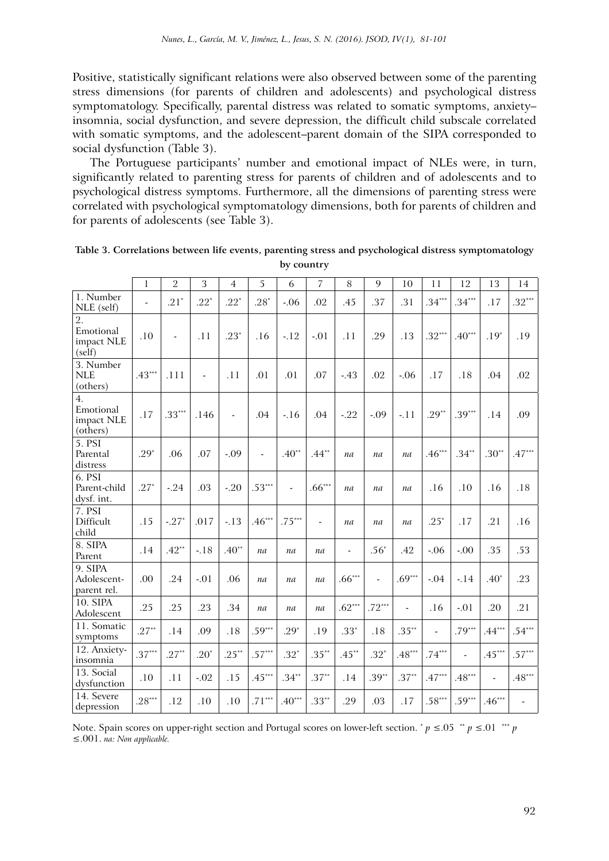Positive, statistically significant relations were also observed between some of the parenting stress dimensions (for parents of children and adolescents) and psychological distress symptomatology. Specifically, parental distress was related to somatic symptoms, anxiety– insomnia, social dysfunction, and severe depression, the difficult child subscale correlated with somatic symptoms, and the adolescent–parent domain of the SIPA corresponded to social dysfunction (Table 3).

The Portuguese participants' number and emotional impact of NLEs were, in turn, significantly related to parenting stress for parents of children and of adolescents and to psychological distress symptoms. Furthermore, all the dimensions of parenting stress were correlated with psychological symptomatology dimensions, both for parents of children and for parents of adolescents (see Table 3).

|                                                       | 1        | $\overline{2}$ | 3              | $\overline{4}$ | 5                        | 6        | 7        | 8              | $\mathbf Q$ | 10       | 11       | 12             | 13       | 14            |
|-------------------------------------------------------|----------|----------------|----------------|----------------|--------------------------|----------|----------|----------------|-------------|----------|----------|----------------|----------|---------------|
| 1. Number<br>NLE (self)                               |          | $.21*$         | $.22*$         | $.22*$         | $.28*$                   | $-.06$   | .02      | .45            | .37         | .31      | $.34***$ | $.34***$       | .17      | $.32***$      |
| $\overline{2}$ .<br>Emotional<br>impact NLE<br>(self) | .10      | $\frac{1}{2}$  | .11            | $.23*$         | .16                      | $-12$    | $-.01$   | .11            | .29         | .13      | $.32***$ | $.40***$       | $.19*$   | .19           |
| 3. Number<br><b>NLE</b><br>(others)                   | $.43***$ | .111           | $\blacksquare$ | .11            | .01                      | .01      | .07      | $-43$          | .02         | $-.06$   | .17      | .18            | .04      | .02           |
| 4.<br>Emotional<br>impact NLE<br>(others)             | .17      | $.33***$       | .146           | $\overline{a}$ | .04                      | $-16$    | .04      | $-22$          | $-.09$      | $-.11$   | $.29**$  | $.39***$       | .14      | .09           |
| 5. PSI<br>Parental<br>distress                        | $.29*$   | .06            | .07            | $-.09$         | $\overline{\phantom{a}}$ | $.40**$  | $.44***$ | na             | na          | na       | $.46***$ | $.34***$       | $.30**$  | $.47***$      |
| 6. PSI<br>Parent-child<br>dysf. int.                  | $.27*$   | $-24$          | .03            | $-20$          | $.53***$                 |          | $.66***$ | na             | na          | na       | .16      | .10            | .16      | .18           |
| 7. PSI<br>Difficult<br>child                          | .15      | $-27*$         | .017           | $-.13$         | $.46***$                 | $.75***$ |          | na             | na          | na       | $.25*$   | .17            | .21      | .16           |
| 8. SIPA<br>Parent                                     | .14      | $.42**$        | $-18$          | $.40**$        | na                       | na       | na       | $\blacksquare$ | $.56*$      | .42      | $-.06$   | $-.00$         | .35      | .53           |
| 9. SIPA<br>Adolescent-<br>parent rel.                 | .00      | .24            | $-.01$         | .06            | na                       | na       | na       | $.66***$       |             | $.69***$ | $-0.04$  | $-.14$         | $.40*$   | .23           |
| 10. SIPA<br>Adolescent                                | .25      | .25            | .23            | .34            | na                       | na       | na       | $.62***$       | $.72***$    | L.       | .16      | $-.01$         | .20      | .21           |
| 11. Somatic<br>symptoms                               | $.27**$  | .14            | .09            | .18            | $.59***$                 | $.29*$   | .19      | $.33*$         | .18         | $.35***$ |          | $.79***$       | $.44***$ | $.54***$      |
| 12. Anxiety-<br>insomnia                              | $.37***$ | $.27**$        | $.20*$         | $.25***$       | $.57***$                 | $.32*$   | $.35***$ | $.45***$       | $.32*$      | $.48***$ | $.74***$ | $\overline{a}$ | $.45***$ | $.57***$      |
| 13. Social<br>dysfunction                             | .10      | .11            | $-.02$         | .15            | $.45***$                 | $.34**$  | $.37***$ | .14            | $.39**$     | $.37***$ | $.47***$ | $.48***$       |          | $.48***$      |
| 14. Severe<br>depression                              | $.28***$ | .12            | .10            | .10            | $.71***$                 | $.40***$ | $.33***$ | .29            | .03         | .17      | $.58***$ | $.59***$       | $.46***$ | $\frac{1}{2}$ |

**Table 3. Correlations between life events, parenting stress and psychological distress symptomatology by country**

Note. Spain scores on upper-right section and Portugal scores on lower-left section. \*  $p \le 0.05$  \*\*  $p \le 0.01$  \*\*\* ≤.001. *na: Non applicable.*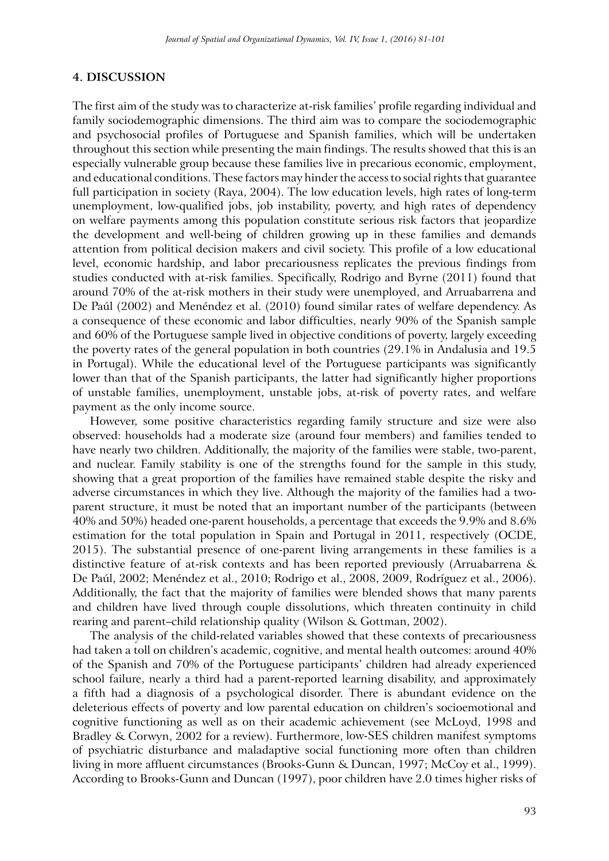## **4. DISCUSSION**

The first aim of the study was to characterize at-risk families' profile regarding individual and family sociodemographic dimensions. The third aim was to compare the sociodemographic and psychosocial profiles of Portuguese and Spanish families, which will be undertaken throughout this section while presenting the main findings. The results showed that this is an especially vulnerable group because these families live in precarious economic, employment, and educational conditions. These factors may hinder the access to social rights that guarantee full participation in society (Raya, 2004). The low education levels, high rates of long-term unemployment, low-qualified jobs, job instability, poverty, and high rates of dependency on welfare payments among this population constitute serious risk factors that jeopardize the development and well-being of children growing up in these families and demands attention from political decision makers and civil society. This profile of a low educational level, economic hardship, and labor precariousness replicates the previous findings from studies conducted with at-risk families. Specifically, Rodrigo and Byrne (2011) found that around 70% of the at-risk mothers in their study were unemployed, and Arruabarrena and De Paúl (2002) and Menéndez et al. (2010) found similar rates of welfare dependency. As a consequence of these economic and labor difficulties, nearly 90% of the Spanish sample and 60% of the Portuguese sample lived in objective conditions of poverty, largely exceeding the poverty rates of the general population in both countries (29.1% in Andalusia and 19.5 in Portugal). While the educational level of the Portuguese participants was significantly lower than that of the Spanish participants, the latter had significantly higher proportions of unstable families, unemployment, unstable jobs, at-risk of poverty rates, and welfare payment as the only income source.

However, some positive characteristics regarding family structure and size were also observed: households had a moderate size (around four members) and families tended to have nearly two children. Additionally, the majority of the families were stable, two-parent, and nuclear. Family stability is one of the strengths found for the sample in this study, showing that a great proportion of the families have remained stable despite the risky and adverse circumstances in which they live. Although the majority of the families had a twoparent structure, it must be noted that an important number of the participants (between 40% and 50%) headed one-parent households, a percentage that exceeds the 9.9% and 8.6% estimation for the total population in Spain and Portugal in 2011, respectively (OCDE, 2015). The substantial presence of one-parent living arrangements in these families is a distinctive feature of at-risk contexts and has been reported previously (Arruabarrena & De Paúl, 2002; Menéndez et al., 2010; Rodrigo et al., 2008, 2009, Rodríguez et al., 2006). Additionally, the fact that the majority of families were blended shows that many parents and children have lived through couple dissolutions, which threaten continuity in child rearing and parent–child relationship quality (Wilson & Gottman, 2002).

The analysis of the child-related variables showed that these contexts of precariousness had taken a toll on children's academic, cognitive, and mental health outcomes: around 40% of the Spanish and 70% of the Portuguese participants' children had already experienced school failure, nearly a third had a parent-reported learning disability, and approximately a fifth had a diagnosis of a psychological disorder. There is abundant evidence on the deleterious effects of poverty and low parental education on children's socioemotional and cognitive functioning as well as on their academic achievement (see McLoyd, 1998 and Bradley & Corwyn, 2002 for a review). Furthermore, low-SES children manifest symptoms of psychiatric disturbance and maladaptive social functioning more often than children living in more affluent circumstances (Brooks-Gunn & Duncan, 1997; McCoy et al., 1999). According to Brooks-Gunn and Duncan (1997), poor children have 2.0 times higher risks of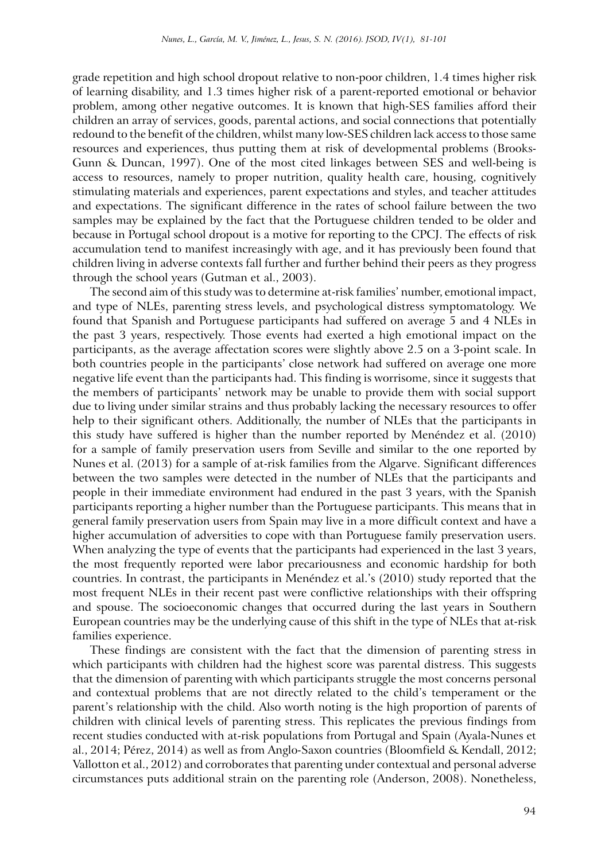grade repetition and high school dropout relative to non-poor children, 1.4 times higher risk of learning disability, and 1.3 times higher risk of a parent-reported emotional or behavior problem, among other negative outcomes. It is known that high-SES families afford their children an array of services, goods, parental actions, and social connections that potentially redound to the benefit of the children, whilst many low-SES children lack access to those same resources and experiences, thus putting them at risk of developmental problems (Brooks-Gunn & Duncan, 1997). One of the most cited linkages between SES and well-being is access to resources, namely to proper nutrition, quality health care, housing, cognitively stimulating materials and experiences, parent expectations and styles, and teacher attitudes and expectations. The significant difference in the rates of school failure between the two samples may be explained by the fact that the Portuguese children tended to be older and because in Portugal school dropout is a motive for reporting to the CPCJ. The effects of risk accumulation tend to manifest increasingly with age, and it has previously been found that children living in adverse contexts fall further and further behind their peers as they progress through the school years (Gutman et al., 2003).

The second aim of this study was to determine at-risk families' number, emotional impact, and type of NLEs, parenting stress levels, and psychological distress symptomatology. We found that Spanish and Portuguese participants had suffered on average 5 and 4 NLEs in the past 3 years, respectively. Those events had exerted a high emotional impact on the participants, as the average affectation scores were slightly above 2.5 on a 3-point scale. In both countries people in the participants' close network had suffered on average one more negative life event than the participants had. This finding is worrisome, since it suggests that the members of participants' network may be unable to provide them with social support due to living under similar strains and thus probably lacking the necessary resources to offer help to their significant others. Additionally, the number of NLEs that the participants in this study have suffered is higher than the number reported by Menéndez et al. (2010) for a sample of family preservation users from Seville and similar to the one reported by Nunes et al. (2013) for a sample of at-risk families from the Algarve. Significant differences between the two samples were detected in the number of NLEs that the participants and people in their immediate environment had endured in the past 3 years, with the Spanish participants reporting a higher number than the Portuguese participants. This means that in general family preservation users from Spain may live in a more difficult context and have a higher accumulation of adversities to cope with than Portuguese family preservation users. When analyzing the type of events that the participants had experienced in the last 3 years, the most frequently reported were labor precariousness and economic hardship for both countries. In contrast, the participants in Menéndez et al.'s (2010) study reported that the most frequent NLEs in their recent past were conflictive relationships with their offspring and spouse. The socioeconomic changes that occurred during the last years in Southern European countries may be the underlying cause of this shift in the type of NLEs that at-risk families experience.

These findings are consistent with the fact that the dimension of parenting stress in which participants with children had the highest score was parental distress. This suggests that the dimension of parenting with which participants struggle the most concerns personal and contextual problems that are not directly related to the child's temperament or the parent's relationship with the child. Also worth noting is the high proportion of parents of children with clinical levels of parenting stress. This replicates the previous findings from recent studies conducted with at-risk populations from Portugal and Spain (Ayala-Nunes et al., 2014; Pérez, 2014) as well as from Anglo-Saxon countries (Bloomfield & Kendall, 2012; Vallotton et al., 2012) and corroborates that parenting under contextual and personal adverse circumstances puts additional strain on the parenting role (Anderson, 2008). Nonetheless,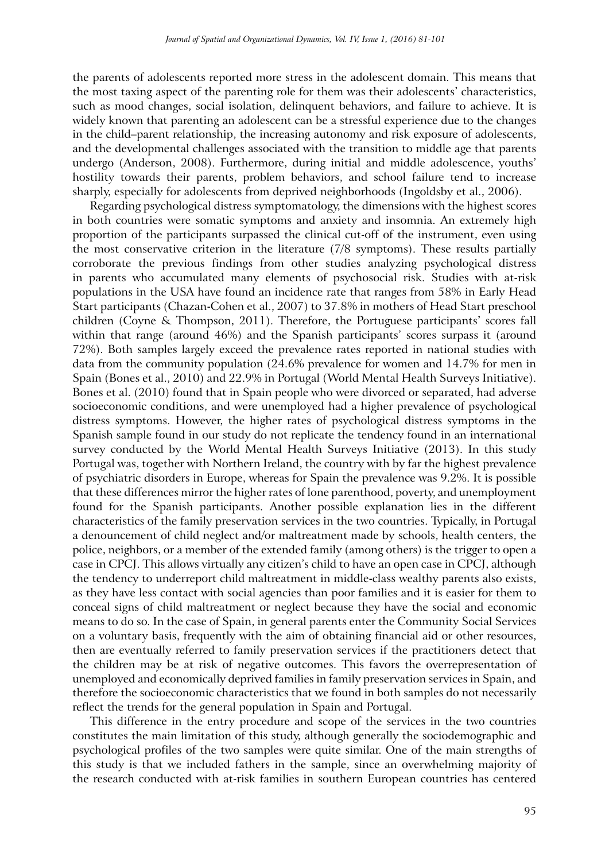the parents of adolescents reported more stress in the adolescent domain. This means that the most taxing aspect of the parenting role for them was their adolescents' characteristics, such as mood changes, social isolation, delinquent behaviors, and failure to achieve. It is widely known that parenting an adolescent can be a stressful experience due to the changes in the child–parent relationship, the increasing autonomy and risk exposure of adolescents, and the developmental challenges associated with the transition to middle age that parents undergo (Anderson, 2008). Furthermore, during initial and middle adolescence, youths' hostility towards their parents, problem behaviors, and school failure tend to increase sharply, especially for adolescents from deprived neighborhoods (Ingoldsby et al., 2006).

Regarding psychological distress symptomatology, the dimensions with the highest scores in both countries were somatic symptoms and anxiety and insomnia. An extremely high proportion of the participants surpassed the clinical cut-off of the instrument, even using the most conservative criterion in the literature (7/8 symptoms). These results partially corroborate the previous findings from other studies analyzing psychological distress in parents who accumulated many elements of psychosocial risk. Studies with at-risk populations in the USA have found an incidence rate that ranges from 58% in Early Head Start participants (Chazan-Cohen et al., 2007) to 37.8% in mothers of Head Start preschool children (Coyne & Thompson, 2011). Therefore, the Portuguese participants' scores fall within that range (around 46%) and the Spanish participants' scores surpass it (around 72%). Both samples largely exceed the prevalence rates reported in national studies with data from the community population (24.6% prevalence for women and 14.7% for men in Spain (Bones et al., 2010) and 22.9% in Portugal (World Mental Health Surveys Initiative). Bones et al. (2010) found that in Spain people who were divorced or separated, had adverse socioeconomic conditions, and were unemployed had a higher prevalence of psychological distress symptoms. However, the higher rates of psychological distress symptoms in the Spanish sample found in our study do not replicate the tendency found in an international survey conducted by the World Mental Health Surveys Initiative (2013). In this study Portugal was, together with Northern Ireland, the country with by far the highest prevalence of psychiatric disorders in Europe, whereas for Spain the prevalence was 9.2%. It is possible that these differences mirror the higher rates of lone parenthood, poverty, and unemployment found for the Spanish participants. Another possible explanation lies in the different characteristics of the family preservation services in the two countries. Typically, in Portugal a denouncement of child neglect and/or maltreatment made by schools, health centers, the police, neighbors, or a member of the extended family (among others) is the trigger to open a case in CPCJ. This allows virtually any citizen's child to have an open case in CPCJ, although the tendency to underreport child maltreatment in middle-class wealthy parents also exists, as they have less contact with social agencies than poor families and it is easier for them to conceal signs of child maltreatment or neglect because they have the social and economic means to do so. In the case of Spain, in general parents enter the Community Social Services on a voluntary basis, frequently with the aim of obtaining financial aid or other resources, then are eventually referred to family preservation services if the practitioners detect that the children may be at risk of negative outcomes. This favors the overrepresentation of unemployed and economically deprived families in family preservation services in Spain, and therefore the socioeconomic characteristics that we found in both samples do not necessarily reflect the trends for the general population in Spain and Portugal.

This difference in the entry procedure and scope of the services in the two countries constitutes the main limitation of this study, although generally the sociodemographic and psychological profiles of the two samples were quite similar. One of the main strengths of this study is that we included fathers in the sample, since an overwhelming majority of the research conducted with at-risk families in southern European countries has centered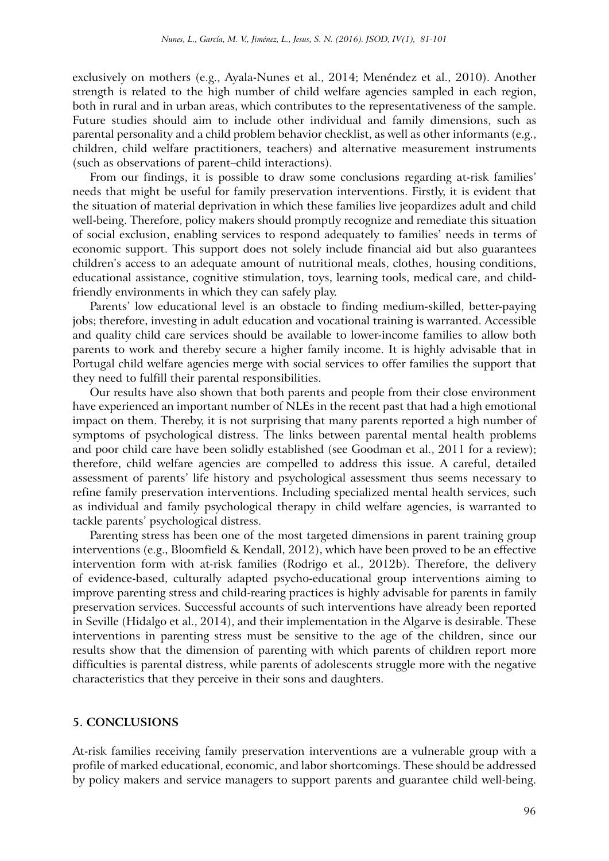exclusively on mothers (e.g., Ayala-Nunes et al., 2014; Menéndez et al., 2010). Another strength is related to the high number of child welfare agencies sampled in each region, both in rural and in urban areas, which contributes to the representativeness of the sample. Future studies should aim to include other individual and family dimensions, such as parental personality and a child problem behavior checklist, as well as other informants (e.g., children, child welfare practitioners, teachers) and alternative measurement instruments (such as observations of parent–child interactions).

From our findings, it is possible to draw some conclusions regarding at-risk families' needs that might be useful for family preservation interventions. Firstly, it is evident that the situation of material deprivation in which these families live jeopardizes adult and child well-being. Therefore, policy makers should promptly recognize and remediate this situation of social exclusion, enabling services to respond adequately to families' needs in terms of economic support. This support does not solely include financial aid but also guarantees children's access to an adequate amount of nutritional meals, clothes, housing conditions, educational assistance, cognitive stimulation, toys, learning tools, medical care, and childfriendly environments in which they can safely play.

Parents' low educational level is an obstacle to finding medium-skilled, better-paying jobs; therefore, investing in adult education and vocational training is warranted. Accessible and quality child care services should be available to lower-income families to allow both parents to work and thereby secure a higher family income. It is highly advisable that in Portugal child welfare agencies merge with social services to offer families the support that they need to fulfill their parental responsibilities.

Our results have also shown that both parents and people from their close environment have experienced an important number of NLEs in the recent past that had a high emotional impact on them. Thereby, it is not surprising that many parents reported a high number of symptoms of psychological distress. The links between parental mental health problems and poor child care have been solidly established (see Goodman et al., 2011 for a review); therefore, child welfare agencies are compelled to address this issue. A careful, detailed assessment of parents' life history and psychological assessment thus seems necessary to refine family preservation interventions. Including specialized mental health services, such as individual and family psychological therapy in child welfare agencies, is warranted to tackle parents' psychological distress.

Parenting stress has been one of the most targeted dimensions in parent training group interventions (e.g., Bloomfield & Kendall, 2012), which have been proved to be an effective intervention form with at-risk families (Rodrigo et al., 2012b). Therefore, the delivery of evidence-based, culturally adapted psycho-educational group interventions aiming to improve parenting stress and child-rearing practices is highly advisable for parents in family preservation services. Successful accounts of such interventions have already been reported in Seville (Hidalgo et al., 2014), and their implementation in the Algarve is desirable. These interventions in parenting stress must be sensitive to the age of the children, since our results show that the dimension of parenting with which parents of children report more difficulties is parental distress, while parents of adolescents struggle more with the negative characteristics that they perceive in their sons and daughters.

#### **5. CONCLUSIONS**

At-risk families receiving family preservation interventions are a vulnerable group with a profile of marked educational, economic, and labor shortcomings. These should be addressed by policy makers and service managers to support parents and guarantee child well-being.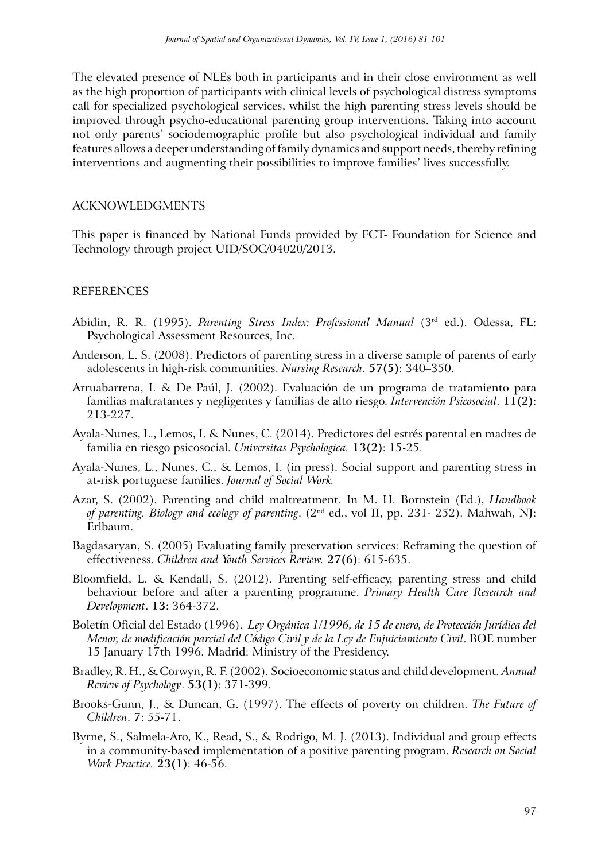The elevated presence of NLEs both in participants and in their close environment as well as the high proportion of participants with clinical levels of psychological distress symptoms call for specialized psychological services, whilst the high parenting stress levels should be improved through psycho-educational parenting group interventions. Taking into account not only parents' sociodemographic profile but also psychological individual and family features allows a deeper understanding of family dynamics and support needs, thereby refining interventions and augmenting their possibilities to improve families' lives successfully.

#### ACKNOWLEDGMENTS

This paper is financed by National Funds provided by FCT- Foundation for Science and Technology through project UID/SOC/04020/2013.

#### REFERENCES

- Abidin, R. R. (1995). *Parenting Stress Index: Professional Manual* (3rd ed.). Odessa, FL: Psychological Assessment Resources, Inc.
- Anderson, L. S. (2008). Predictors of parenting stress in a diverse sample of parents of early adolescents in high-risk communities. *Nursing Research*. **57(5)**: 340–350.
- Arruabarrena, I. & De Paúl, J. (2002). Evaluación de un programa de tratamiento para familias maltratantes y negligentes y familias de alto riesgo. *Intervención Psicosocial*. **11(2)**: 213-227.
- Ayala-Nunes, L., Lemos, I. & Nunes, C. (2014). Predictores del estrés parental en madres de familia en riesgo psicosocial. *Universitas Psychologica.* **13(2)**: 15-25.
- Ayala-Nunes, L., Nunes, C., & Lemos, I. (in press). Social support and parenting stress in at-risk portuguese families. *Journal of Social Work.*
- Azar, S. (2002). Parenting and child maltreatment. In M. H. Bornstein (Ed.), *Handbook of parenting. Biology and ecology of parenting*. (2nd ed., vol II, pp. 231- 252). Mahwah, NJ: Erlbaum.
- Bagdasaryan, S. (2005) Evaluating family preservation services: Reframing the question of effectiveness. *Children and Youth Services Review.* **27(6)**: 615-635.
- Bloomfield, L. & Kendall, S. (2012). Parenting self-efficacy, parenting stress and child behaviour before and after a parenting programme. *Primary Health Care Research and Development*. **13**: 364-372.
- Boletín Oficial del Estado (1996). *Ley Orgánica 1/1996, de 15 de enero, de Protección Jurídica del Menor, de modificación parcial del Código Civil y de la Ley de Enjuiciamiento Civil*. BOE number 15 January 17th 1996. Madrid: Ministry of the Presidency.
- Bradley, R. H., & Corwyn, R. F. (2002). Socioeconomic status and child development. *Annual Review of Psychology*. **53(1)**: 371-399.
- Brooks-Gunn, J., & Duncan, G. (1997). The effects of poverty on children. *The Future of Children*. **7**: 55-71.
- Byrne, S., Salmela-Aro, K., Read, S., & Rodrigo, M. J. (2013). Individual and group effects in a community-based implementation of a positive parenting program. *Research on Social Work Practice.* **23(1)**: 46-56.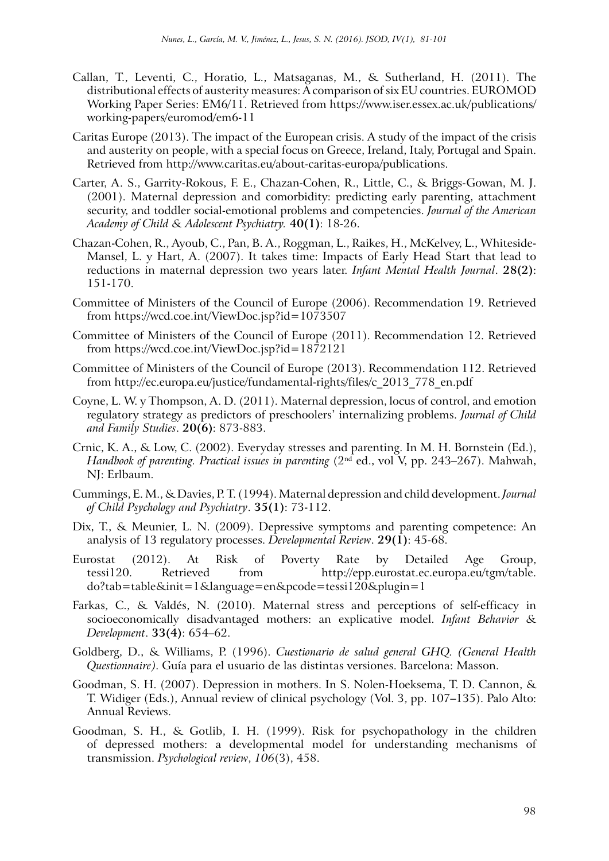- Callan, T., Leventi, C., Horatio, L., Matsaganas, M., & Sutherland, H. (2011). The distributional effects of austerity measures: A comparison of six EU countries. EUROMOD Working Paper Series: EM6/11. Retrieved from https://www.iser.essex.ac.uk/publications/ working-papers/euromod/em6-11
- Caritas Europe (2013). The impact of the European crisis. A study of the impact of the crisis and austerity on people, with a special focus on Greece, Ireland, Italy, Portugal and Spain. Retrieved from http://www.caritas.eu/about-caritas-europa/publications.
- Carter, A. S., Garrity-Rokous, F. E., Chazan-Cohen, R., Little, C., & Briggs-Gowan, M. J. (2001). Maternal depression and comorbidity: predicting early parenting, attachment security, and toddler social-emotional problems and competencies. *Journal of the American Academy of Child & Adolescent Psychiatry.* **40(1)**: 18-26.
- Chazan-Cohen, R., Ayoub, C., Pan, B. A., Roggman, L., Raikes, H., McKelvey, L., Whiteside-Mansel, L. y Hart, A. (2007). It takes time: Impacts of Early Head Start that lead to reductions in maternal depression two years later. *Infant Mental Health Journal*. **28(2)**: 151-170.
- Committee of Ministers of the Council of Europe (2006). Recommendation 19. Retrieved from https://wcd.coe.int/ViewDoc.jsp?id=1073507
- Committee of Ministers of the Council of Europe (2011). Recommendation 12. Retrieved from https://wcd.coe.int/ViewDoc.jsp?id=1872121
- Committee of Ministers of the Council of Europe (2013). Recommendation 112. Retrieved from http://ec.europa.eu/justice/fundamental-rights/files/c\_2013\_778\_en.pdf
- Coyne, L. W. y Thompson, A. D. (2011). Maternal depression, locus of control, and emotion regulatory strategy as predictors of preschoolers' internalizing problems. *Journal of Child and Family Studies*. **20(6)**: 873-883.
- Crnic, K. A., & Low, C. (2002). Everyday stresses and parenting. In M. H. Bornstein (Ed.), *Handbook of parenting. Practical issues in parenting* (2<sup>nd</sup> ed., vol V, pp. 243–267). Mahwah, NJ: Erlbaum.
- Cummings, E. M., & Davies, P. T. (1994). Maternal depression and child development.*Journal of Child Psychology and Psychiatry*. **35(1)**: 73-112.
- Dix, T., & Meunier, L. N. (2009). Depressive symptoms and parenting competence: An analysis of 13 regulatory processes. *Developmental Review*. **29(1)**: 45-68.
- Eurostat (2012). At Risk of Poverty Rate by Detailed Age Group, tessi120. Retrieved from http://epp.eurostat.ec.europa.eu/tgm/table. do?tab=table&init=1&language=en&pcode=tessi120&plugin=1
- Farkas, C., & Valdés, N. (2010). Maternal stress and perceptions of self-efficacy in socioeconomically disadvantaged mothers: an explicative model. *Infant Behavior & Development*. **33(4)**: 654–62.
- Goldberg, D., & Williams, P. (1996). *Cuestionario de salud general GHQ. (General Health Questionnaire)*. Guía para el usuario de las distintas versiones. Barcelona: Masson.
- Goodman, S. H. (2007). Depression in mothers. In S. Nolen-Hoeksema, T. D. Cannon, & T. Widiger (Eds.), Annual review of clinical psychology (Vol. 3, pp. 107–135). Palo Alto: Annual Reviews.
- Goodman, S. H., & Gotlib, I. H. (1999). Risk for psychopathology in the children of depressed mothers: a developmental model for understanding mechanisms of transmission. *Psychological review*, *106*(3), 458.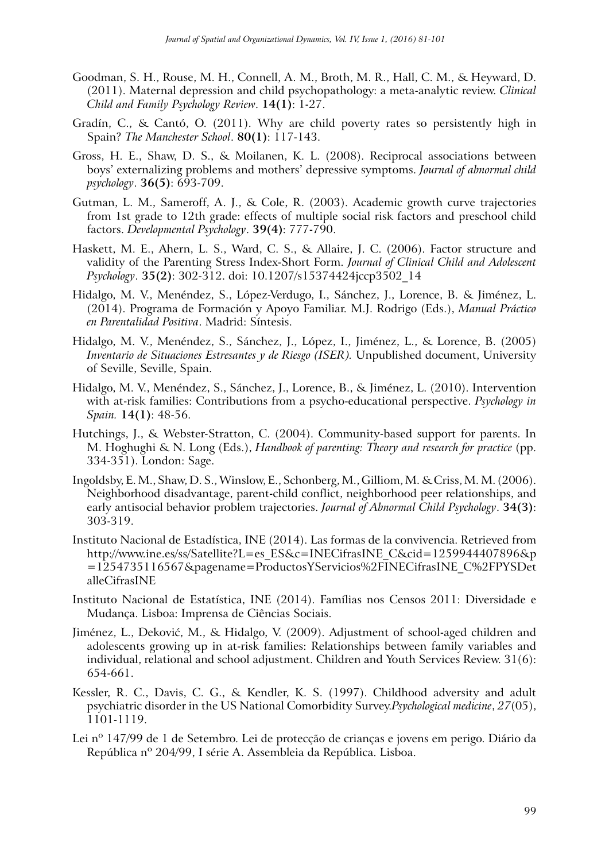- Goodman, S. H., Rouse, M. H., Connell, A. M., Broth, M. R., Hall, C. M., & Heyward, D. (2011). Maternal depression and child psychopathology: a meta-analytic review. *Clinical Child and Family Psychology Review*. **14(1)**: 1-27.
- Gradín, C., & Cantó, O. (2011). Why are child poverty rates so persistently high in Spain? *The Manchester School*. **80(1)**: 117-143.
- Gross, H. E., Shaw, D. S., & Moilanen, K. L. (2008). Reciprocal associations between boys' externalizing problems and mothers' depressive symptoms. *Journal of abnormal child psychology*. **36(5)**: 693-709.
- Gutman, L. M., Sameroff, A. J., & Cole, R. (2003). Academic growth curve trajectories from 1st grade to 12th grade: effects of multiple social risk factors and preschool child factors. *Developmental Psychology*. **39(4)**: 777-790.
- Haskett, M. E., Ahern, L. S., Ward, C. S., & Allaire, J. C. (2006). Factor structure and validity of the Parenting Stress Index-Short Form. *Journal of Clinical Child and Adolescent Psychology*. **35(2)**: 302-312. doi: 10.1207/s15374424jccp3502\_14
- Hidalgo, M. V., Menéndez, S., López-Verdugo, I., Sánchez, J., Lorence, B. & Jiménez, L. (2014). Programa de Formación y Apoyo Familiar. M.J. Rodrigo (Eds.), *Manual Práctico en Parentalidad Positiva*. Madrid: Síntesis.
- Hidalgo, M. V., Menéndez, S., Sánchez, J., López, I., Jiménez, L., & Lorence, B. (2005) *Inventario de Situaciones Estresantes y de Riesgo (ISER).* Unpublished document, University of Seville, Seville, Spain.
- Hidalgo, M. V., Menéndez, S., Sánchez, J., Lorence, B., & Jiménez, L. (2010). Intervention with at-risk families: Contributions from a psycho-educational perspective. *Psychology in Spain.* **14(1)**: 48-56.
- Hutchings, J., & Webster-Stratton, C. (2004). Community-based support for parents. In M. Hoghughi & N. Long (Eds.), *Handbook of parenting: Theory and research for practice* (pp. 334-351). London: Sage.
- Ingoldsby, E. M., Shaw, D. S., Winslow, E., Schonberg, M., Gilliom, M. & Criss, M. M. (2006). Neighborhood disadvantage, parent-child conflict, neighborhood peer relationships, and early antisocial behavior problem trajectories. *Journal of Abnormal Child Psychology*. **34(3)**: 303-319.
- Instituto Nacional de Estadística, INE (2014). Las formas de la convivencia. Retrieved from http://www.ine.es/ss/Satellite?L=es\_ES&c=INECifrasINE\_C&cid=1259944407896&p =1254735116567&pagename=ProductosYServicios%2FINECifrasINE\_C%2FPYSDet alleCifrasINE
- Instituto Nacional de Estatística, INE (2014). Famílias nos Censos 2011: Diversidade e Mudança. Lisboa: Imprensa de Ciências Sociais.
- Jiménez, L., Deković, M., & Hidalgo, V. (2009). Adjustment of school-aged children and adolescents growing up in at-risk families: Relationships between family variables and individual, relational and school adjustment. Children and Youth Services Review. 31(6): 654-661.
- Kessler, R. C., Davis, C. G., & Kendler, K. S. (1997). Childhood adversity and adult psychiatric disorder in the US National Comorbidity Survey.*Psychological medicine*, *27*(05), 1101-1119.
- Lei nº 147/99 de 1 de Setembro. Lei de protecção de crianças e jovens em perigo. Diário da República nº 204/99, I série A. Assembleia da República. Lisboa.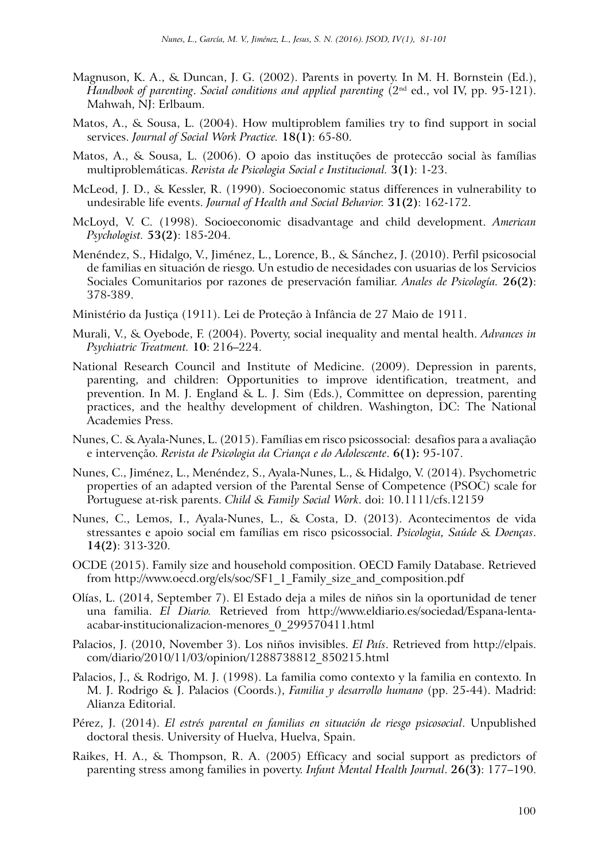- Magnuson, K. A., & Duncan, J. G. (2002). Parents in poverty. In M. H. Bornstein (Ed.), *Handbook of parenting*. *Social conditions and applied parenting* (2nd ed., vol IV, pp. 95-121). Mahwah, NJ: Erlbaum.
- Matos, A., & Sousa, L. (2004). How multiproblem families try to find support in social services. *Journal of Social Work Practice.* **18(1)**: 65-80.
- Matos, A., & Sousa, L. (2006). O apoio das instituções de proteccão social às famílias multiproblemáticas. *Revista de Psicologia Social e Institucional.* **3(1)**: 1-23.
- McLeod, J. D., & Kessler, R. (1990). Socioeconomic status differences in vulnerability to undesirable life events. *Journal of Health and Social Behavior.* **31(2)**: 162-172.
- McLoyd, V. C. (1998). Socioeconomic disadvantage and child development. *American Psychologist.* **53(2)**: 185-204.
- Menéndez, S., Hidalgo, V., Jiménez, L., Lorence, B., & Sánchez, J. (2010). Perfil psicosocial de familias en situación de riesgo. Un estudio de necesidades con usuarias de los Servicios Sociales Comunitarios por razones de preservación familiar. *Anales de Psicología.* **26(2)**: 378-389.
- Ministério da Justiça (1911). Lei de Proteção à Infância de 27 Maio de 1911.
- Murali, V., & Oyebode, F. (2004). Poverty, social inequality and mental health. *Advances in Psychiatric Treatment.* **10**: 216–224.
- National Research Council and Institute of Medicine. (2009). Depression in parents, parenting, and children: Opportunities to improve identification, treatment, and prevention. In M. J. England & L. J. Sim (Eds.), Committee on depression, parenting practices, and the healthy development of children. Washington, DC: The National Academies Press.
- Nunes, C. & Ayala-Nunes, L. (2015). Famílias em risco psicossocial: desafios para a avaliação e intervenção. *Revista de Psicologia da Criança e do Adolescente*. **6(1):** 95-107.
- Nunes, C., Jiménez, L., Menéndez, S., Ayala-Nunes, L., & Hidalgo, V. (2014). Psychometric properties of an adapted version of the Parental Sense of Competence (PSOC) scale for Portuguese at-risk parents. *Child & Family Social Work*. doi: 10.1111/cfs.12159
- Nunes, C., Lemos, I., Ayala-Nunes, L., & Costa, D. (2013). Acontecimentos de vida stressantes e apoio social em famílias em risco psicossocial. *Psicologia, Saúde & Doenças*. **14(2)**: 313-320.
- OCDE (2015). Family size and household composition. OECD Family Database. Retrieved from http://www.oecd.org/els/soc/SF1\_1\_Family\_size\_and\_composition.pdf
- Olías, L. (2014, September 7). El Estado deja a miles de niños sin la oportunidad de tener una familia. *El Diario.* Retrieved from http://www.eldiario.es/sociedad/Espana-lentaacabar-institucionalizacion-menores\_0\_299570411.html
- Palacios, J. (2010, November 3). Los niños invisibles. *El País*. Retrieved from http://elpais. com/diario/2010/11/03/opinion/1288738812\_850215.html
- Palacios, J., & Rodrigo, M. J. (1998). La familia como contexto y la familia en contexto. In M. J. Rodrigo & J. Palacios (Coords.), *Familia y desarrollo humano* (pp. 25-44). Madrid: Alianza Editorial.
- Pérez, J. (2014). *El estrés parental en familias en situación de riesgo psicosocial*. Unpublished doctoral thesis. University of Huelva, Huelva, Spain.
- Raikes, H. A., & Thompson, R. A. (2005) Efficacy and social support as predictors of parenting stress among families in poverty. *Infant Mental Health Journal*. **26(3)**: 177–190.